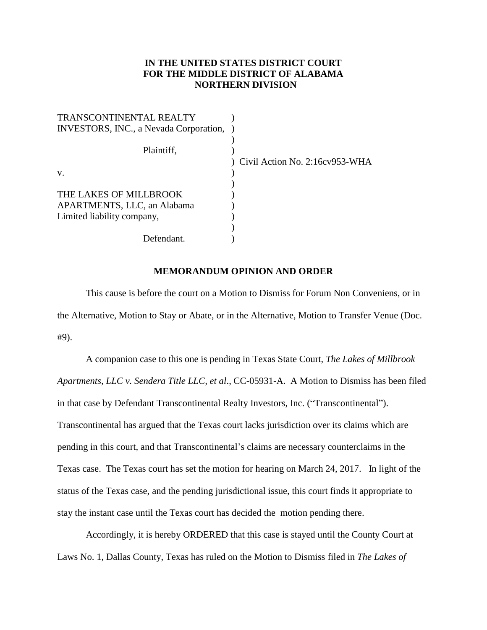## **IN THE UNITED STATES DISTRICT COURT FOR THE MIDDLE DISTRICT OF ALABAMA NORTHERN DIVISION**

| TRANSCONTINENTAL REALTY                |                                |
|----------------------------------------|--------------------------------|
| INVESTORS, INC., a Nevada Corporation, |                                |
|                                        |                                |
| Plaintiff,                             |                                |
|                                        | Civil Action No. 2:16cv953-WHA |
| V.                                     |                                |
|                                        |                                |
| THE LAKES OF MILLBROOK                 |                                |
| APARTMENTS, LLC, an Alabama            |                                |
| Limited liability company,             |                                |
|                                        |                                |
| Defendant.                             |                                |

## **MEMORANDUM OPINION AND ORDER**

This cause is before the court on a Motion to Dismiss for Forum Non Conveniens, or in the Alternative, Motion to Stay or Abate, or in the Alternative, Motion to Transfer Venue (Doc. #9).

A companion case to this one is pending in Texas State Court, *The Lakes of Millbrook Apartments, LLC v. Sendera Title LLC, et al*., CC-05931-A. A Motion to Dismiss has been filed in that case by Defendant Transcontinental Realty Investors, Inc. ("Transcontinental"). Transcontinental has argued that the Texas court lacks jurisdiction over its claims which are pending in this court, and that Transcontinental's claims are necessary counterclaims in the Texas case. The Texas court has set the motion for hearing on March 24, 2017. In light of the status of the Texas case, and the pending jurisdictional issue, this court finds it appropriate to stay the instant case until the Texas court has decided the motion pending there.

Accordingly, it is hereby ORDERED that this case is stayed until the County Court at Laws No. 1, Dallas County, Texas has ruled on the Motion to Dismiss filed in *The Lakes of*